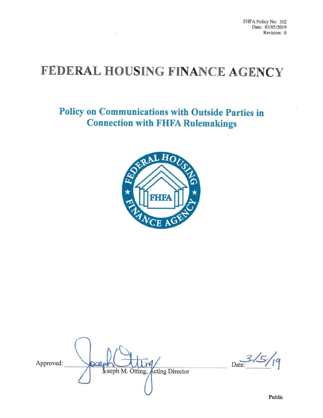FHFA Policy No: 302 Date: 03/05/2019 Revision: 0

# FEDERAL HOUSING FINANCE AGENCY

 $\mathcal{L}$ 

Policy on Communications with Outside Parties in Connection with FHFA Rulemakings



Approved:  $\sim$ Joseph M. Otting, Acting Director

Date: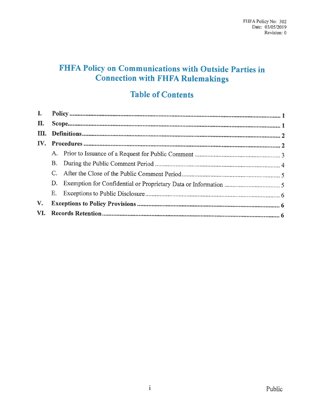# FHFA Policy on Communications with Outside Parties in Connection with FHFA Rulemakings

## Table of Contents

| <b>Table of Contents</b> |    |  |  |
|--------------------------|----|--|--|
| L                        |    |  |  |
| П.                       |    |  |  |
| HL.                      |    |  |  |
| IV.                      |    |  |  |
|                          | A. |  |  |
|                          | B. |  |  |
|                          |    |  |  |
|                          | D. |  |  |
|                          | Е. |  |  |
| V.                       |    |  |  |
| VI.                      |    |  |  |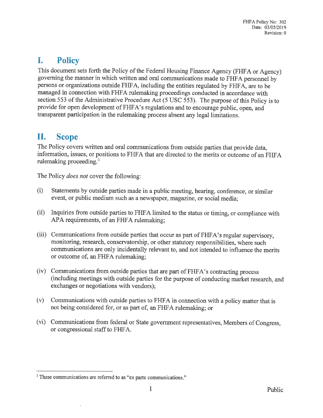# I. Policy

This document sets forth the Policy of the Federal Housing Finance Agency (FHFA or Agency) governing the manner in which written and oral communications made to FHFA personnel by persons or organizations outside FHFA, including the entities regulated by FHFA, are to be managed in connection with FHFA mlemaking proceedings conducted in accordance with section 553 of the Administrative Procedure Act (5 USC 553). The purpose of this Policy is to provide for open development of FHFA's regulations and to encourage public, open, and transparent participation in the rulemaking process absent any legal limitations.

### II. Scope

The Policy covers written and oral communications from outside parties that provide data, information, issues, or positions to FHFA that are directed to the merits or outcome of an FHFA rulemaking proceeding.'

The Policy *does not* cover the following:

- (i) Statements by outside parties made in a public meeting, hearing, conference, or similar event, or public medium such as a newspaper, magazine, or social media;
- (ii) Inquiries from outside parties to FHFA limited to the status or timing, or compliance with APA requirements, of an FHFA rulemaking;
- (iii) Communications from outside parties that occur as part of FHFA's regular supervisory, monitoring, research, conservatorship, or other statutory responsibilities, where such communications are only incidentally relevant to, and not intended to influence the merits or outcome of, an FHFA rulemaking;
- (iv) Communications from outside parties that are part of FHFA's contracting process (including meetings with outside parties for the purpose of conducting market research, and exchanges or negotiations with vendors);
- (v) Communications with outside parties to FHFA in connection with a policy matter that is not being considered for, or as part of, an FHFA rulemaking; or
- (vi) Communications from federal or State government representatives. Members of Congress, or congressional staff to FHFA.

<sup>&#</sup>x27; These communications are referred to as "ex parte communications."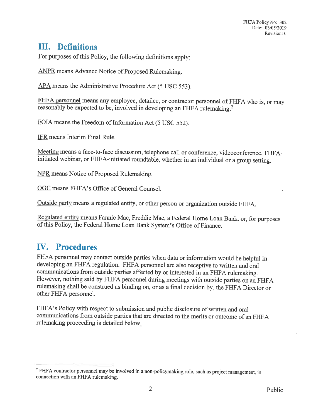## III. Definitions

For purposes of this Policy, the following definitions apply

ANPR means Advance Notice of Proposed Rulemaking.

APA means the Administrative Procedure Act (5 USC 553).

FHFA personnel means any employee, detailee, or contractor personnel of FHFA who is, or may reasonably be expected to be, involved in developing an FHFA rulemaking.2

FOIA means the Freedom of Information Act (5 USC 552).

IFR means Interim Final Rule.

Meeting means a face-to-face discussion, telephone call or conference, videoconference, FHFAinitiated webinar, or FHFA-initiated roundtable, whether in an individual or a group setting.

NPR means Notice of Proposed Rulemaking.

OGC means FHFA's Office of General Counsel.

Outside party means a regulated entity, or other person or organization outside FHFA.

Regulated entity means Fannie Mae, Freddie Mac, a Federal Home Loan Bank, or, for purposes of this Policy, the Federal Home Loan Bank System's Office of Finance.

# IV. Procedures

FHFA personnel may contact outside parties when data or information would be helpful in developing an FHFA regulation. FHFA personnel are also receptive to written and oral communications from outside parties affected by or interested in an FHFA rulemaking. However, nothing said by FHFA personnel during meetings with outside parties on an FHFA rulemaking shall be construed as binding on, or as a final decision by, the FHFA Director or other FHFA personnel.

FHFA's Policy with respect to submission and public disclosure of written and oral communications from outside parties that are directed to the merits or outcome of an FHFA rulemaking proceeding is detailed below

<sup>&</sup>lt;sup>2</sup> FHFA contractor personnel may be involved in a non-policymaking role, such as project management, in connection with an FHFA rulemaking.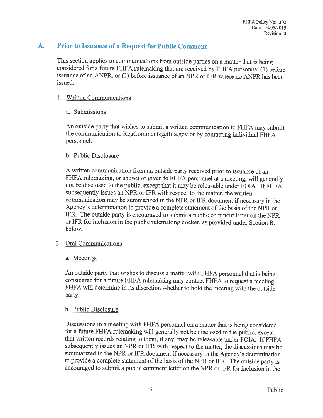### A. Prior to Issuance of a Request for Public Comment

This section applies to communications from outside parties on a matter that is being considered for a future FHFA rulemaking that are received by FHFA personnel (1) before issuance of an ANPR, or (2) before issuance of an NPR or IFR where no ANPR has been issued.

#### 1. Written Communications

#### a. Submissions

An outside party that wishes to submit a written communication to FHFA may submit the communication to RegComments@fhfa.gov or by contacting individual FHFA personnel.

#### b. Public Disclosure

A written communication from an outside party received prior to issuance of an FHFA rulemaking, or shown or given to FHFA personnel at a meeting, will generally not be disclosed to the public, except that it may be releasable under FOIA. If FHFA subsequently issues an NPR or IFR with respect to the matter, the written communication may be summarized in the NPR or IFR document if necessary in the Agency's determination to provide a complete statement of the basis of the NPR or IFR. The outside party is encouraged to submit a public comment letter on the NPR or IFR for inclusion in the public rulemaking docket, as provided under Section B. below.

#### 2. Oral Communications

a. Meetings

An outside party that wishes to discuss a matter with FHFA personnel that is being considered for a future FHFA mlemaking may contact FHFA to request a meeting. FHFA will determine in its discretion whether to hold the meeting with the outside party.

#### b. Public Disclosure

Discussions in a meeting with FHFA personnel on a matter that is being considered for a future FHFA rulemaking will generally not be disclosed to the public, except that written records relating to them, if any, may be releasable under FOIA. If FHFA subsequently issues an NPR or IFR with respect to the matter, the discussions may be summarized in the NPR or IFR document if necessary in the Agency's determination to provide a complete statement of the basis of the NPR or IFR. The outside party is encouraged to submit a public comment letter on the NPR or IFR for inclusion in the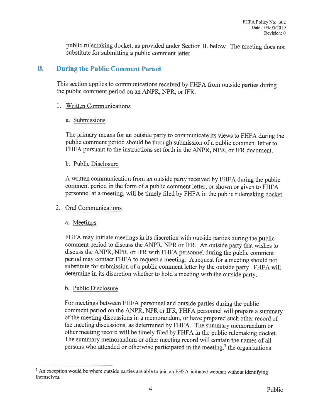public rulemaking docket, as provided under Section B. below. The meeting does not substitute for submitting a public comment letter.

#### B. During the Public Comment Period

This section applies to communications received by FHFA from outside parties during the public comment period on an ANPR, NPR, or IFR.

#### 1. Written Communications

#### a. Submissions

The primary means for an outside party to communicate its views to FHFA during the public comment period should be through submission of a public comment letter to FHFA pursuant to the instructions set forth in the ANPR, NPR, or IFR document.

#### b. Public Disclosure

A written communication from an outside party received by FHFA during the public comment period in the form of a public comment letter, or shown or given to FHFA personnel at a meeting, will be timely filed by FHFA in the public rulemaking docket.

#### 2. Oral Communications

#### a. Meetings

FHFA may initiate meetings in its discretion with outside parties during the public comment period to discuss the ANPR, NPR or IFR. An outside party that wishes to discuss the ANPR, NPR, or IFR with FHFA personnel during the public comment period may contact FHFA to request a meeting. A request for a meeting should not substitute for submission of a public comment letter by the outside party. FHFA will determine in its discretion whether to hold a meeting with the outside party

#### b. Public Disclosure

For meetings between FHFA personnel and outside parties during the public comment period on the ANPR, NPR or IFR, FHFA personnel will prepare a summary of the meeting discussions in a memorandum, or have prepared such other record of the meeting discussions, as determined by FHFA. The summary memorandum or other meeting record will be timely filed by FHFA in the public rulemaking docket. The summary memorandum or other meeting record will contain the names of all persons who attended or otherwise participated in the meeting, $<sup>3</sup>$  the organizations</sup>

<sup>&</sup>lt;sup>3</sup> An exception would be where outside parties are able to join an FHFA-initiated webinar without identifying themselves.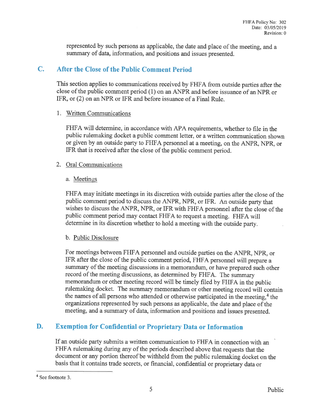represented by such persons as applicable, the date and place of the meeting, and a summary of data, information, and positions and issues presented.

### C. After the Close of the Public Comment Period

This section applies to communications received by FHFA from outside parties after the close of the public comment period (1) on an ANPR and before issuance of an NPR or IFR, or (2) on an NPR or IFR and before issuance of a Final Rule.

#### 1. Written Communications

FHFA will determine, in accordance with APA requirements, whether to file in the public rulemaking docket a public comment letter, or a written communication shown or given by an outside party to FHFA personnel at a meeting, on the ANPR, NPR, or IFR that is received after the close of the public comment period.

#### 2. Oral Communications

#### a. Meetings

FHFA may initiate meetings in its discretion with outside parties after the close of the public comment period to discuss the ANPR, NPR, or IFR. An outside party that wishes to discuss the ANPR, NPR, or IFR with FHFA personnel after the close of the public comment period may contact FHFA to request a meeting. FHFA will determine in its discretion whether to hold a meeting with the outside party.

#### b. Public Disclosure

For meetings between FHFA personnel and outside parties on the ANPR, NPR, or IFR after the close of the public comment period, FHFA personnel will prepare a summary of the meeting discussions in a memorandum, or have prepared such other record of the meeting discussions, as determined by FHFA. The summary memorandum or other meeting record will be timely filed by FHFA in the public rulemaking docket. The summary memorandum or other meeting record will contain the names of all persons who attended or otherwise participated in the meeting, 4 the organizations represented by such persons as applicable, the date and place of the meeting, and a summary of data, information and positions and issues presented.

### D. Exemption for Confidential or Proprietary Data or Information

If an outside party submits a written communication to FHFA in connection with an FHFA rulemaking during any of the periods described above that requests that the document or any portion thereof be withheld from the public rulemaking docket on the basis that it contains trade secrets, or financial, confidential or proprietary data or

<sup>4</sup> See footnote 3.